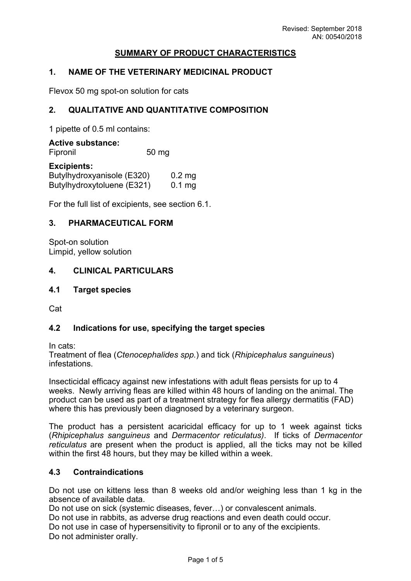# **SUMMARY OF PRODUCT CHARACTERISTICS**

# **1. NAME OF THE VETERINARY MEDICINAL PRODUCT**

Flevox 50 mg spot-on solution for cats

## **2. QUALITATIVE AND QUANTITATIVE COMPOSITION**

1 pipette of 0.5 ml contains:

**Active substance:** Fipronil 50 mg

### **Excipients:**

| <b>EVALIAIR</b>            |          |
|----------------------------|----------|
| Butylhydroxyanisole (E320) | $0.2$ mg |
| Butylhydroxytoluene (E321) | $0.1$ mg |

For the full list of excipients, see section 6.1.

## **3. PHARMACEUTICAL FORM**

Spot-on solution Limpid, yellow solution

# **4. CLINICAL PARTICULARS**

### **4.1 Target species**

Cat

# **4.2 Indications for use, specifying the target species**

In cats:

Treatment of flea (*Ctenocephalides spp.*) and tick (*Rhipicephalus sanguineus*) infestations.

Insecticidal efficacy against new infestations with adult fleas persists for up to 4 weeks. Newly arriving fleas are killed within 48 hours of landing on the animal. The product can be used as part of a treatment strategy for flea allergy dermatitis (FAD) where this has previously been diagnosed by a veterinary surgeon.

The product has a persistent acaricidal efficacy for up to 1 week against ticks (*Rhipicephalus sanguineus* and *Dermacentor reticulatus)*. If ticks of *Dermacentor reticulatus* are present when the product is applied, all the ticks may not be killed within the first 48 hours, but they may be killed within a week.

## **4.3 Contraindications**

Do not use on kittens less than 8 weeks old and/or weighing less than 1 kg in the absence of available data.

Do not use on sick (systemic diseases, fever…) or convalescent animals.

Do not use in rabbits, as adverse drug reactions and even death could occur.

Do not use in case of hypersensitivity to fipronil or to any of the excipients. Do not administer orally.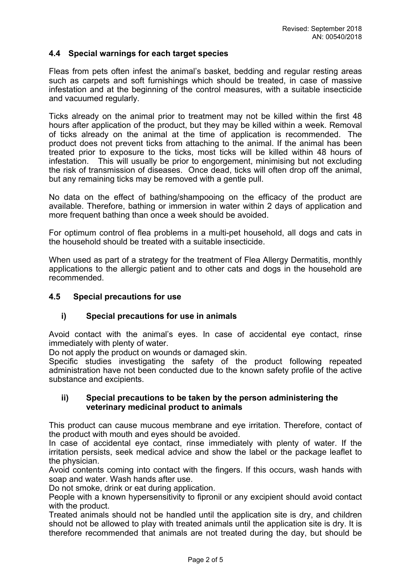## **4.4 Special warnings for each target species**

Fleas from pets often infest the animal's basket, bedding and regular resting areas such as carpets and soft furnishings which should be treated, in case of massive infestation and at the beginning of the control measures, with a suitable insecticide and vacuumed regularly.

Ticks already on the animal prior to treatment may not be killed within the first 48 hours after application of the product, but they may be killed within a week. Removal of ticks already on the animal at the time of application is recommended. The product does not prevent ticks from attaching to the animal. If the animal has been treated prior to exposure to the ticks, most ticks will be killed within 48 hours of infestation. This will usually be prior to engorgement, minimising but not excluding the risk of transmission of diseases. Once dead, ticks will often drop off the animal, but any remaining ticks may be removed with a gentle pull.

No data on the effect of bathing/shampooing on the efficacy of the product are available. Therefore, bathing or immersion in water within 2 days of application and more frequent bathing than once a week should be avoided.

For optimum control of flea problems in a multi-pet household, all dogs and cats in the household should be treated with a suitable insecticide.

When used as part of a strategy for the treatment of Flea Allergy Dermatitis, monthly applications to the allergic patient and to other cats and dogs in the household are recommended.

### **4.5 Special precautions for use**

### **i) Special precautions for use in animals**

Avoid contact with the animal's eyes. In case of accidental eye contact, rinse immediately with plenty of water.

Do not apply the product on wounds or damaged skin.

Specific studies investigating the safety of the product following repeated administration have not been conducted due to the known safety profile of the active substance and excipients.

## **ii) Special precautions to be taken by the person administering the veterinary medicinal product to animals**

This product can cause mucous membrane and eye irritation. Therefore, contact of the product with mouth and eyes should be avoided.

In case of accidental eye contact, rinse immediately with plenty of water. If the irritation persists, seek medical advice and show the label or the package leaflet to the physician.

Avoid contents coming into contact with the fingers. If this occurs, wash hands with soap and water. Wash hands after use.

Do not smoke, drink or eat during application.

People with a known hypersensitivity to fipronil or any excipient should avoid contact with the product.

Treated animals should not be handled until the application site is dry, and children should not be allowed to play with treated animals until the application site is dry. It is therefore recommended that animals are not treated during the day, but should be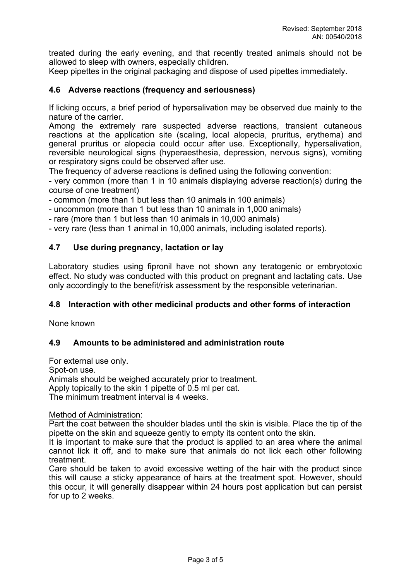treated during the early evening, and that recently treated animals should not be allowed to sleep with owners, especially children.

Keep pipettes in the original packaging and dispose of used pipettes immediately.

## **4.6 Adverse reactions (frequency and seriousness)**

If licking occurs, a brief period of hypersalivation may be observed due mainly to the nature of the carrier.

Among the extremely rare suspected adverse reactions, transient cutaneous reactions at the application site (scaling, local alopecia, pruritus, erythema) and general pruritus or alopecia could occur after use. Exceptionally, hypersalivation, reversible neurological signs (hyperaesthesia, depression, nervous signs), vomiting or respiratory signs could be observed after use.

The frequency of adverse reactions is defined using the following convention:

- very common (more than 1 in 10 animals displaying adverse reaction(s) during the course of one treatment)

- common (more than 1 but less than 10 animals in 100 animals)

- uncommon (more than 1 but less than 10 animals in 1,000 animals)

- rare (more than 1 but less than 10 animals in 10,000 animals)

- very rare (less than 1 animal in 10,000 animals, including isolated reports).

## **4.7 Use during pregnancy, lactation or lay**

Laboratory studies using fipronil have not shown any teratogenic or embryotoxic effect. No study was conducted with this product on pregnant and lactating cats. Use only accordingly to the benefit/risk assessment by the responsible veterinarian.

### **4.8 Interaction with other medicinal products and other forms of interaction**

None known

### **4.9 Amounts to be administered and administration route**

For external use only. Spot-on use. Animals should be weighed accurately prior to treatment. Apply topically to the skin 1 pipette of 0.5 ml per cat. The minimum treatment interval is 4 weeks.

#### Method of Administration:

Part the coat between the shoulder blades until the skin is visible. Place the tip of the pipette on the skin and squeeze gently to empty its content onto the skin.

It is important to make sure that the product is applied to an area where the animal cannot lick it off, and to make sure that animals do not lick each other following treatment.

Care should be taken to avoid excessive wetting of the hair with the product since this will cause a sticky appearance of hairs at the treatment spot. However, should this occur, it will generally disappear within 24 hours post application but can persist for up to 2 weeks.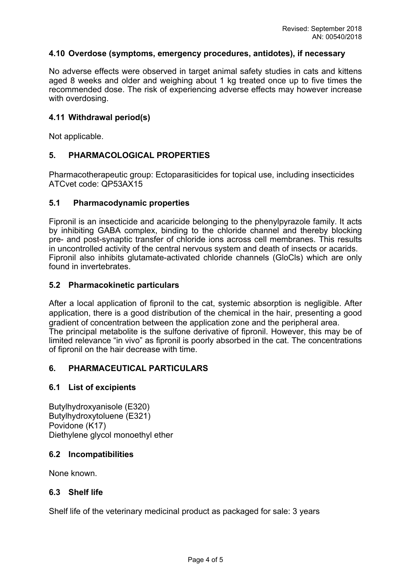### **4.10 Overdose (symptoms, emergency procedures, antidotes), if necessary**

No adverse effects were observed in target animal safety studies in cats and kittens aged 8 weeks and older and weighing about 1 kg treated once up to five times the recommended dose. The risk of experiencing adverse effects may however increase with overdosing.

## **4.11 Withdrawal period(s)**

Not applicable.

## **5. PHARMACOLOGICAL PROPERTIES**

Pharmacotherapeutic group: Ectoparasiticides for topical use, including insecticides ATCvet code: QP53AX15

### **5.1 Pharmacodynamic properties**

Fipronil is an insecticide and acaricide belonging to the phenylpyrazole family. It acts by inhibiting GABA complex, binding to the chloride channel and thereby blocking pre- and post-synaptic transfer of chloride ions across cell membranes. This results in uncontrolled activity of the central nervous system and death of insects or acarids. Fipronil also inhibits glutamate-activated chloride channels (GloCls) which are only found in invertebrates.

### **5.2 Pharmacokinetic particulars**

After a local application of fipronil to the cat, systemic absorption is negligible. After application, there is a good distribution of the chemical in the hair, presenting a good gradient of concentration between the application zone and the peripheral area. The principal metabolite is the sulfone derivative of fipronil. However, this may be of limited relevance "in vivo" as fipronil is poorly absorbed in the cat. The concentrations of fipronil on the hair decrease with time.

### **6. PHARMACEUTICAL PARTICULARS**

### **6.1 List of excipients**

Butylhydroxyanisole (E320) Butylhydroxytoluene (E321) Povidone (K17) Diethylene glycol monoethyl ether

### **6.2 Incompatibilities**

None known.

### **6.3 Shelf life**

Shelf life of the veterinary medicinal product as packaged for sale: 3 years